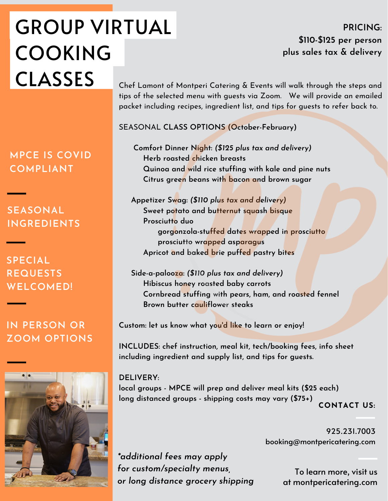## GROUP VIRTUAL COOKING CLASSES Chef Lamont of Montperi Catering & Events will walk through the steps and

**PRICING: \$110-\$125 per person plus sales tax & delivery**

tips of the selected menu with guests via Zoom. We will provide an emailed packet including recipes, ingredient list, and tips for guests to refer back to.

SEASONAL **CLASS OPTIONS (October-February)**

**Comfort Dinner Night:** *(\$125 plus tax and delivery)* **Herb roasted chicken breasts Quinoa and wild rice stuffing with kale and pine nuts Citrus green beans with bacon and brown sugar**

**Appetizer Swag:** *(\$110 plus tax and delivery)* **Sweet potato and butternut squash bisque Prosciutto duo gorgonzola-stuffed dates wrapped in prosciutto prosciutto wrapped asparagus Apricot and baked brie puffed pastry bites**

**Side-a-palooza:** *(\$110 plus tax and delivery)* **Hibiscus honey roasted baby carrots Cornbread stuffing with pears, ham, and roasted fennel Brown butter cauliflower steaks**

**Custom: let us know what you'd like to learn or enjoy!**

**INCLUDES: chef instruction, meal kit, tech/booking fees, info sheet including ingredient and supply list, and tips for guests.**

**CONTACT US: DELIVERY: local groups - MPCE will prep and deliver meal kits (\$25 each) long distanced groups - shipping costs may vary (\$75+)**

> 925.231.7003 booking@montpericatering.com

*\*additional fees may apply for custom/specialty menus, or long distance grocery shipping*

To learn more, visit us at montpericatering.com

**MPCE IS COVID COMPLIANT**

**SEASONAL INGREDIENTS**

**SPECIAL REQUESTS WELCOMED!**

**IN PERSON OR ZOOM OPTIONS**